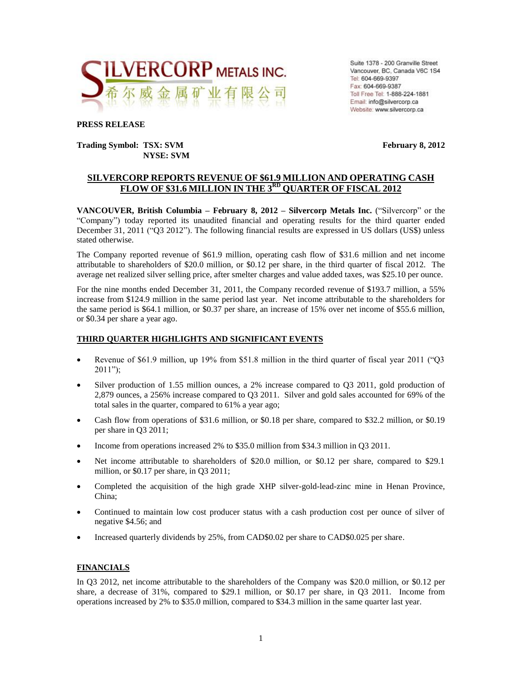

Suite 1378 - 200 Granville Street Vancouver, BC, Canada V6C 1S4 Tel: 604-669-9397 Fax: 604-669-9387 Toll Free Tel: 1-888-224-1881 Email: info@silvercorp.ca Website: www.silvercorp.ca

### **PRESS RELEASE**

### **Trading Symbol: TSX: SVM February 8, 2012 NYSE: SVM**

### **SILVERCORP REPORTS REVENUE OF \$61.9 MILLION AND OPERATING CASH FLOW OF \$31.6 MILLION IN THE 3 RD QUARTER OF FISCAL 2012**

**VANCOUVER, British Columbia – February 8, 2012 – Silvercorp Metals Inc.** ("Silvercorp" or the "Company") today reported its unaudited financial and operating results for the third quarter ended December 31, 2011 ("Q3 2012"). The following financial results are expressed in US dollars (US\$) unless stated otherwise.

The Company reported revenue of \$61.9 million, operating cash flow of \$31.6 million and net income attributable to shareholders of \$20.0 million, or \$0.12 per share, in the third quarter of fiscal 2012. The average net realized silver selling price, after smelter charges and value added taxes, was \$25.10 per ounce.

For the nine months ended December 31, 2011, the Company recorded revenue of \$193.7 million, a 55% increase from \$124.9 million in the same period last year. Net income attributable to the shareholders for the same period is \$64.1 million, or \$0.37 per share, an increase of 15% over net income of \$55.6 million, or \$0.34 per share a year ago.

### **THIRD QUARTER HIGHLIGHTS AND SIGNIFICANT EVENTS**

- Revenue of \$61.9 million, up 19% from \$51.8 million in the third quarter of fiscal year 2011 ("O3 2011");
- Silver production of 1.55 million ounces, a 2% increase compared to Q3 2011, gold production of 2,879 ounces, a 256% increase compared to Q3 2011. Silver and gold sales accounted for 69% of the total sales in the quarter, compared to 61% a year ago;
- Cash flow from operations of \$31.6 million, or \$0.18 per share, compared to \$32.2 million, or \$0.19 per share in Q3 2011;
- Income from operations increased 2% to \$35.0 million from \$34.3 million in Q3 2011.
- Net income attributable to shareholders of \$20.0 million, or \$0.12 per share, compared to \$29.1 million, or \$0.17 per share, in Q3 2011;
- Completed the acquisition of the high grade XHP silver-gold-lead-zinc mine in Henan Province, China;
- Continued to maintain low cost producer status with a cash production cost per ounce of silver of negative \$4.56; and
- Increased quarterly dividends by 25%, from CAD\$0.02 per share to CAD\$0.025 per share.

### **FINANCIALS**

In Q3 2012, net income attributable to the shareholders of the Company was \$20.0 million, or \$0.12 per share, a decrease of 31%, compared to \$29.1 million, or \$0.17 per share, in Q3 2011. Income from operations increased by 2% to \$35.0 million, compared to \$34.3 million in the same quarter last year.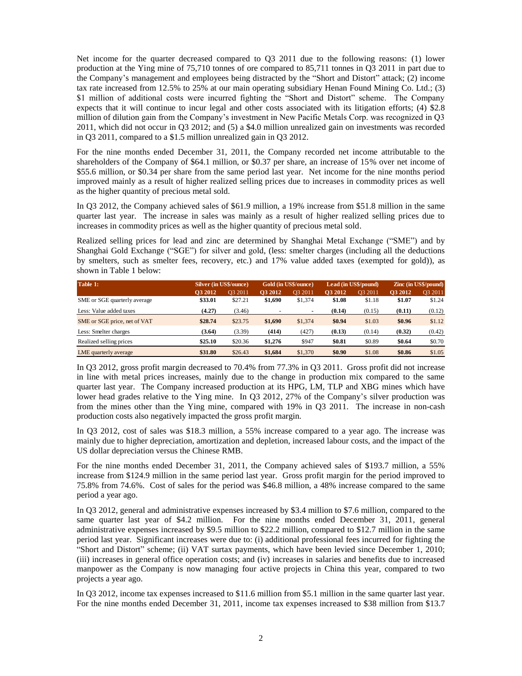Net income for the quarter decreased compared to Q3 2011 due to the following reasons: (1) lower production at the Ying mine of 75,710 tonnes of ore compared to 85,711 tonnes in Q3 2011 in part due to the Company's management and employees being distracted by the "Short and Distort" attack; (2) income tax rate increased from 12.5% to 25% at our main operating subsidiary Henan Found Mining Co. Ltd.; (3) \$1 million of additional costs were incurred fighting the "Short and Distort" scheme. The Company expects that it will continue to incur legal and other costs associated with its litigation efforts; (4) \$2.8 million of dilution gain from the Company's investment in New Pacific Metals Corp. was recognized in Q3 2011, which did not occur in Q3 2012; and (5) a \$4.0 million unrealized gain on investments was recorded in Q3 2011, compared to a \$1.5 million unrealized gain in Q3 2012.

For the nine months ended December 31, 2011, the Company recorded net income attributable to the shareholders of the Company of \$64.1 million, or \$0.37 per share, an increase of 15% over net income of \$55.6 million, or \$0.34 per share from the same period last year. Net income for the nine months period improved mainly as a result of higher realized selling prices due to increases in commodity prices as well as the higher quantity of precious metal sold.

In Q3 2012, the Company achieved sales of \$61.9 million, a 19% increase from \$51.8 million in the same quarter last year. The increase in sales was mainly as a result of higher realized selling prices due to increases in commodity prices as well as the higher quantity of precious metal sold.

Realized selling prices for lead and zinc are determined by Shanghai Metal Exchange ("SME") and by Shanghai Gold Exchange ("SGE") for silver and gold, (less: smelter charges (including all the deductions by smelters, such as smelter fees, recovery, etc.) and 17% value added taxes (exempted for gold)), as shown in Table 1 below:

| Table 1:                     | <b>Silver (in US\$/ounce)</b> |                     | Gold (in US\$/ounce) |                     | Lead (in US\$/pound) |                     | <b>Zinc</b> (in US\$/pound) |         |
|------------------------------|-------------------------------|---------------------|----------------------|---------------------|----------------------|---------------------|-----------------------------|---------|
|                              | O3 2012                       | O <sub>3</sub> 2011 | <b>O3 2012</b>       | O <sub>3</sub> 2011 | O3 2012              | O <sub>3</sub> 2011 | <b>O3 2012</b>              | O3 2011 |
| SME or SGE quarterly average | \$33.01                       | \$27.21             | \$1,690              | \$1,374             | \$1.08               | \$1.18              | \$1.07                      | \$1.24  |
| Less: Value added taxes      | (4.27)                        | (3.46)              |                      | $\blacksquare$      | (0.14)               | (0.15)              | (0.11)                      | (0.12)  |
| SME or SGE price, net of VAT | \$28.74                       | \$23.75             | \$1,690              | \$1,374             | \$0.94               | \$1.03              | \$0.96                      | \$1.12  |
| Less: Smelter charges        | (3.64)                        | (3.39)              | (414)                | (427)               | (0.13)               | (0.14)              | (0.32)                      | (0.42)  |
| Realized selling prices      | \$25.10                       | \$20.36             | \$1,276              | \$947               | \$0.81               | \$0.89              | \$0.64                      | \$0.70  |
| LME quarterly average        | \$31.80                       | \$26.43             | \$1,684              | \$1,370             | \$0.90               | \$1.08              | \$0.86                      | \$1.05  |

In Q3 2012, gross profit margin decreased to 70.4% from 77.3% in Q3 2011. Gross profit did not increase in line with metal prices increases, mainly due to the change in production mix compared to the same quarter last year. The Company increased production at its HPG, LM, TLP and XBG mines which have lower head grades relative to the Ying mine. In Q3 2012, 27% of the Company's silver production was from the mines other than the Ying mine, compared with 19% in Q3 2011. The increase in non-cash production costs also negatively impacted the gross profit margin.

In Q3 2012, cost of sales was \$18.3 million, a 55% increase compared to a year ago. The increase was mainly due to higher depreciation, amortization and depletion, increased labour costs, and the impact of the US dollar depreciation versus the Chinese RMB.

For the nine months ended December 31, 2011, the Company achieved sales of \$193.7 million, a 55% increase from \$124.9 million in the same period last year. Gross profit margin for the period improved to 75.8% from 74.6%. Cost of sales for the period was \$46.8 million, a 48% increase compared to the same period a year ago.

In Q3 2012, general and administrative expenses increased by \$3.4 million to \$7.6 million, compared to the same quarter last year of \$4.2 million. For the nine months ended December 31, 2011, general administrative expenses increased by \$9.5 million to \$22.2 million, compared to \$12.7 million in the same period last year. Significant increases were due to: (i) additional professional fees incurred for fighting the "Short and Distort" scheme; (ii) VAT surtax payments, which have been levied since December 1, 2010; (iii) increases in general office operation costs; and (iv) increases in salaries and benefits due to increased manpower as the Company is now managing four active projects in China this year, compared to two projects a year ago.

In Q3 2012, income tax expenses increased to \$11.6 million from \$5.1 million in the same quarter last year. For the nine months ended December 31, 2011, income tax expenses increased to \$38 million from \$13.7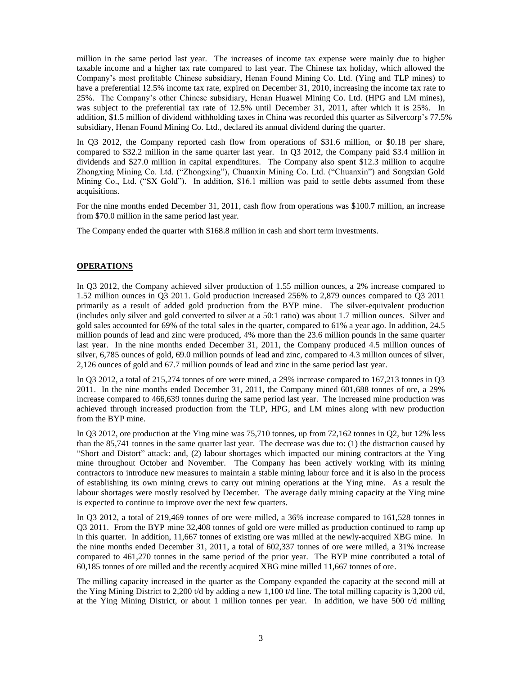million in the same period last year. The increases of income tax expense were mainly due to higher taxable income and a higher tax rate compared to last year. The Chinese tax holiday, which allowed the Company's most profitable Chinese subsidiary, Henan Found Mining Co. Ltd. (Ying and TLP mines) to have a preferential 12.5% income tax rate, expired on December 31, 2010, increasing the income tax rate to 25%. The Company's other Chinese subsidiary, Henan Huawei Mining Co. Ltd. (HPG and LM mines), was subject to the preferential tax rate of 12.5% until December 31, 2011, after which it is 25%. In addition, \$1.5 million of dividend withholding taxes in China was recorded this quarter as Silvercorp's 77.5% subsidiary, Henan Found Mining Co. Ltd., declared its annual dividend during the quarter.

In Q3 2012, the Company reported cash flow from operations of \$31.6 million, or \$0.18 per share, compared to \$32.2 million in the same quarter last year. In Q3 2012, the Company paid \$3.4 million in dividends and \$27.0 million in capital expenditures. The Company also spent \$12.3 million to acquire Zhongxing Mining Co. Ltd. ("Zhongxing"), Chuanxin Mining Co. Ltd. ("Chuanxin") and Songxian Gold Mining Co., Ltd. ("SX Gold"). In addition, \$16.1 million was paid to settle debts assumed from these acquisitions.

For the nine months ended December 31, 2011, cash flow from operations was \$100.7 million, an increase from \$70.0 million in the same period last year.

The Company ended the quarter with \$168.8 million in cash and short term investments.

#### **OPERATIONS**

In Q3 2012, the Company achieved silver production of 1.55 million ounces, a 2% increase compared to 1.52 million ounces in Q3 2011. Gold production increased 256% to 2,879 ounces compared to Q3 2011 primarily as a result of added gold production from the BYP mine. The silver-equivalent production (includes only silver and gold converted to silver at a 50:1 ratio) was about 1.7 million ounces. Silver and gold sales accounted for 69% of the total sales in the quarter, compared to 61% a year ago. In addition, 24.5 million pounds of lead and zinc were produced, 4% more than the 23.6 million pounds in the same quarter last year. In the nine months ended December 31, 2011, the Company produced 4.5 million ounces of silver, 6,785 ounces of gold, 69.0 million pounds of lead and zinc, compared to 4.3 million ounces of silver, 2,126 ounces of gold and 67.7 million pounds of lead and zinc in the same period last year.

In Q3 2012, a total of 215,274 tonnes of ore were mined, a 29% increase compared to 167,213 tonnes in Q3 2011. In the nine months ended December 31, 2011, the Company mined 601,688 tonnes of ore, a 29% increase compared to 466,639 tonnes during the same period last year. The increased mine production was achieved through increased production from the TLP, HPG, and LM mines along with new production from the BYP mine.

In Q3 2012, ore production at the Ying mine was 75,710 tonnes, up from 72,162 tonnes in Q2, but 12% less than the 85,741 tonnes in the same quarter last year. The decrease was due to: (1) the distraction caused by "Short and Distort" attack: and, (2) labour shortages which impacted our mining contractors at the Ying mine throughout October and November. The Company has been actively working with its mining contractors to introduce new measures to maintain a stable mining labour force and it is also in the process of establishing its own mining crews to carry out mining operations at the Ying mine. As a result the labour shortages were mostly resolved by December. The average daily mining capacity at the Ying mine is expected to continue to improve over the next few quarters.

In Q3 2012, a total of 219,469 tonnes of ore were milled, a 36% increase compared to 161,528 tonnes in Q3 2011. From the BYP mine 32,408 tonnes of gold ore were milled as production continued to ramp up in this quarter. In addition, 11,667 tonnes of existing ore was milled at the newly-acquired XBG mine. In the nine months ended December 31, 2011, a total of 602,337 tonnes of ore were milled, a 31% increase compared to 461,270 tonnes in the same period of the prior year. The BYP mine contributed a total of 60,185 tonnes of ore milled and the recently acquired XBG mine milled 11,667 tonnes of ore.

The milling capacity increased in the quarter as the Company expanded the capacity at the second mill at the Ying Mining District to 2,200 t/d by adding a new 1,100 t/d line. The total milling capacity is 3,200 t/d, at the Ying Mining District, or about 1 million tonnes per year. In addition, we have 500 t/d milling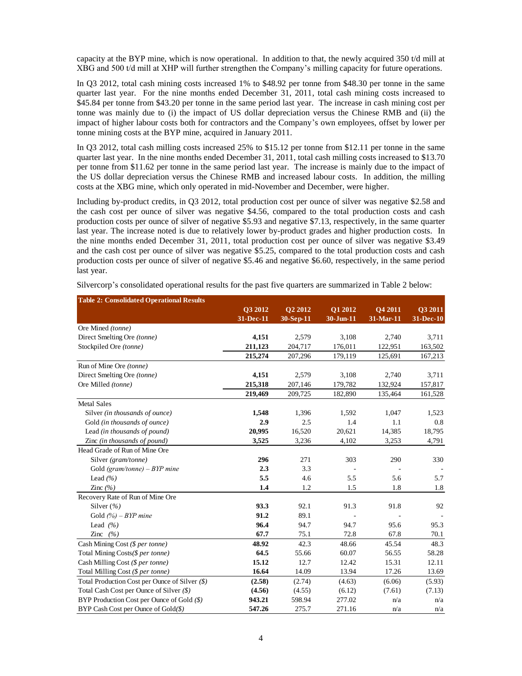capacity at the BYP mine, which is now operational. In addition to that, the newly acquired 350 t/d mill at XBG and 500 t/d mill at XHP will further strengthen the Company's milling capacity for future operations.

In Q3 2012, total cash mining costs increased 1% to \$48.92 per tonne from \$48.30 per tonne in the same quarter last year. For the nine months ended December 31, 2011, total cash mining costs increased to \$45.84 per tonne from \$43.20 per tonne in the same period last year. The increase in cash mining cost per tonne was mainly due to (i) the impact of US dollar depreciation versus the Chinese RMB and (ii) the impact of higher labour costs both for contractors and the Company's own employees, offset by lower per tonne mining costs at the BYP mine, acquired in January 2011.

In Q3 2012, total cash milling costs increased 25% to \$15.12 per tonne from \$12.11 per tonne in the same quarter last year. In the nine months ended December 31, 2011, total cash milling costs increased to \$13.70 per tonne from \$11.62 per tonne in the same period last year. The increase is mainly due to the impact of the US dollar depreciation versus the Chinese RMB and increased labour costs. In addition, the milling costs at the XBG mine, which only operated in mid-November and December, were higher.

Including by-product credits, in Q3 2012, total production cost per ounce of silver was negative \$2.58 and the cash cost per ounce of silver was negative \$4.56, compared to the total production costs and cash production costs per ounce of silver of negative \$5.93 and negative \$7.13, respectively, in the same quarter last year. The increase noted is due to relatively lower by-product grades and higher production costs. In the nine months ended December 31, 2011, total production cost per ounce of silver was negative \$3.49 and the cash cost per ounce of silver was negative \$5.25, compared to the total production costs and cash production costs per ounce of silver of negative \$5.46 and negative \$6.60, respectively, in the same period last year.

| <b>Table 2: Consolidated Operational Results</b> |           |           |           |           |           |
|--------------------------------------------------|-----------|-----------|-----------|-----------|-----------|
|                                                  | Q3 2012   | Q2 2012   | Q1 2012   | Q4 2011   | Q3 2011   |
|                                                  | 31-Dec-11 | 30-Sep-11 | 30-Jun-11 | 31-Mar-11 | 31-Dec-10 |
| Ore Mined (tonne)                                |           |           |           |           |           |
| Direct Smelting Ore (tonne)                      | 4,151     | 2,579     | 3,108     | 2,740     | 3,711     |
| Stockpiled Ore (tonne)                           | 211,123   | 204,717   | 176,011   | 122,951   | 163,502   |
|                                                  | 215,274   | 207,296   | 179,119   | 125,691   | 167,213   |
| Run of Mine Ore (tonne)                          |           |           |           |           |           |
| Direct Smelting Ore (tonne)                      | 4,151     | 2,579     | 3,108     | 2,740     | 3,711     |
| Ore Milled (tonne)                               | 215,318   | 207,146   | 179,782   | 132,924   | 157,817   |
|                                                  | 219,469   | 209,725   | 182,890   | 135,464   | 161,528   |
| <b>Metal Sales</b>                               |           |           |           |           |           |
| Silver (in thousands of ounce)                   | 1,548     | 1,396     | 1,592     | 1,047     | 1,523     |
| Gold (in thousands of ounce)                     | 2.9       | 2.5       | 1.4       | 1.1       | 0.8       |
| Lead (in thousands of pound)                     | 20,995    | 16,520    | 20,621    | 14,385    | 18,795    |
| Zinc (in thousands of pound)                     | 3,525     | 3,236     | 4,102     | 3,253     | 4,791     |
| Head Grade of Run of Mine Ore                    |           |           |           |           |           |
| Silver (gram/tonne)                              | 296       | 271       | 303       | 290       | 330       |
| Gold (gram/tonne) – $BYP$ mine                   | 2.3       | 3.3       |           |           |           |
| Lead $(%$                                        | 5.5       | 4.6       | 5.5       | 5.6       | 5.7       |
| Zinc $(%$                                        | 1.4       | 1.2       | 1.5       | 1.8       | 1.8       |
| Recovery Rate of Run of Mine Ore                 |           |           |           |           |           |
| Silver $(\% )$                                   | 93.3      | 92.1      | 91.3      | 91.8      | 92        |
| Gold $(%)-BYP$ mine                              | 91.2      | 89.1      |           |           |           |
| Lead $(%$                                        | 96.4      | 94.7      | 94.7      | 95.6      | 95.3      |
| Zinc $(%)$                                       | 67.7      | 75.1      | 72.8      | 67.8      | 70.1      |
| Cash Mining Cost $(\$ per tonne)$                | 48.92     | 42.3      | 48.66     | 45.54     | 48.3      |
| Total Mining Costs(\$ per tonne)                 | 64.5      | 55.66     | 60.07     | 56.55     | 58.28     |
| Cash Milling Cost (\$ per tonne)                 | 15.12     | 12.7      | 12.42     | 15.31     | 12.11     |
| Total Milling Cost (\$ per tonne)                | 16.64     | 14.09     | 13.94     | 17.26     | 13.69     |
| Total Production Cost per Ounce of Silver (\$)   | (2.58)    | (2.74)    | (4.63)    | (6.06)    | (5.93)    |
| Total Cash Cost per Ounce of Silver (\$)         | (4.56)    | (4.55)    | (6.12)    | (7.61)    | (7.13)    |
| BYP Production Cost per Ounce of Gold (\$)       | 943.21    | 598.94    | 277.02    | n/a       | n/a       |
| BYP Cash Cost per Ounce of $Gold(\S)$            | 547.26    | 275.7     | 271.16    | n/a       | n/a       |

Silvercorp's consolidated operational results for the past five quarters are summarized in Table 2 below: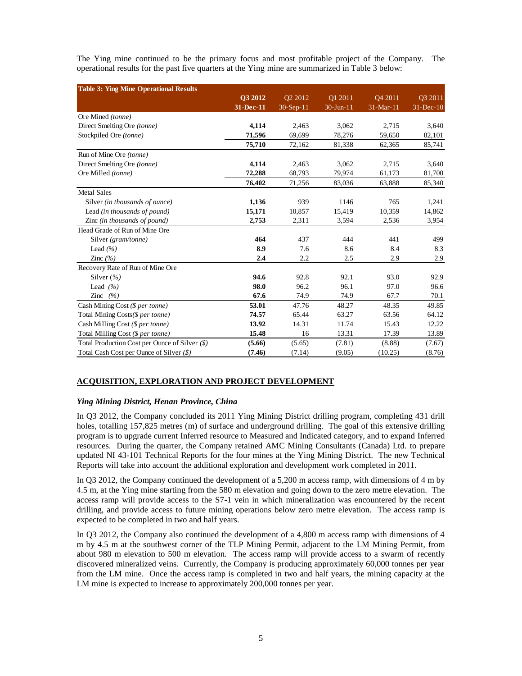The Ying mine continued to be the primary focus and most profitable project of the Company. The operational results for the past five quarters at the Ying mine are summarized in Table 3 below:

| <b>Table 3: Ying Mine Operational Results</b>  |           |             |           |                                 |               |
|------------------------------------------------|-----------|-------------|-----------|---------------------------------|---------------|
|                                                | Q3 2012   | Q2 2012     | Q1 2011   | $Q\overline{4} 20\overline{11}$ | Q3 2011       |
|                                                | 31-Dec-11 | $30-Sep-11$ | 30-Jun-11 | 31-Mar-11                       | $31 - Dec-10$ |
| Ore Mined (tonne)                              |           |             |           |                                 |               |
| Direct Smelting Ore (tonne)                    | 4,114     | 2,463       | 3,062     | 2,715                           | 3,640         |
| Stockpiled Ore (tonne)                         | 71,596    | 69,699      | 78,276    | 59,650                          | 82,101        |
|                                                | 75,710    | 72,162      | 81,338    | 62,365                          | 85,741        |
| Run of Mine Ore (tonne)                        |           |             |           |                                 |               |
| Direct Smelting Ore (tonne)                    | 4,114     | 2,463       | 3,062     | 2,715                           | 3,640         |
| Ore Milled (tonne)                             | 72,288    | 68,793      | 79,974    | 61,173                          | 81,700        |
|                                                | 76,402    | 71,256      | 83,036    | 63,888                          | 85,340        |
| <b>Metal Sales</b>                             |           |             |           |                                 |               |
| Silver (in thousands of ounce)                 | 1,136     | 939         | 1146      | 765                             | 1,241         |
| Lead (in thousands of pound)                   | 15,171    | 10,857      | 15,419    | 10,359                          | 14,862        |
| Zinc (in thousands of pound)                   | 2,753     | 2,311       | 3,594     | 2,536                           | 3,954         |
| Head Grade of Run of Mine Ore                  |           |             |           |                                 |               |
| Silver (gram/tonne)                            | 464       | 437         | 444       | 441                             | 499           |
| Lead $(%$                                      | 8.9       | 7.6         | 8.6       | 8.4                             | 8.3           |
| Zinc $(%$                                      | 2.4       | 2.2         | 2.5       | 2.9                             | 2.9           |
| Recovery Rate of Run of Mine Ore               |           |             |           |                                 |               |
| Silver $(\% )$                                 | 94.6      | 92.8        | 92.1      | 93.0                            | 92.9          |
| Lead $(%$                                      | 98.0      | 96.2        | 96.1      | 97.0                            | 96.6          |
| Zinc $(%$                                      | 67.6      | 74.9        | 74.9      | 67.7                            | 70.1          |
| Cash Mining Cost $(\$ per tonne)$              | 53.01     | 47.76       | 48.27     | 48.35                           | 49.85         |
| Total Mining Costs(\$ per tonne)               | 74.57     | 65.44       | 63.27     | 63.56                           | 64.12         |
| Cash Milling Cost (\$ per tonne)               | 13.92     | 14.31       | 11.74     | 15.43                           | 12.22         |
| Total Milling Cost (\$ per tonne)              | 15.48     | 16          | 13.31     | 17.39                           | 13.89         |
| Total Production Cost per Ounce of Silver (\$) | (5.66)    | (5.65)      | (7.81)    | (8.88)                          | (7.67)        |
| Total Cash Cost per Ounce of Silver (\$)       | (7.46)    | (7.14)      | (9.05)    | (10.25)                         | (8.76)        |

### **ACQUISITION, EXPLORATION AND PROJECT DEVELOPMENT**

#### *Ying Mining District, Henan Province, China*

In Q3 2012, the Company concluded its 2011 Ying Mining District drilling program, completing 431 drill holes, totalling 157,825 metres (m) of surface and underground drilling. The goal of this extensive drilling program is to upgrade current Inferred resource to Measured and Indicated category, and to expand Inferred resources. During the quarter, the Company retained AMC Mining Consultants (Canada) Ltd. to prepare updated NI 43-101 Technical Reports for the four mines at the Ying Mining District. The new Technical Reports will take into account the additional exploration and development work completed in 2011.

In Q3 2012, the Company continued the development of a 5,200 m access ramp, with dimensions of 4 m by 4.5 m, at the Ying mine starting from the 580 m elevation and going down to the zero metre elevation. The access ramp will provide access to the S7-1 vein in which mineralization was encountered by the recent drilling, and provide access to future mining operations below zero metre elevation. The access ramp is expected to be completed in two and half years.

In Q3 2012, the Company also continued the development of a 4,800 m access ramp with dimensions of 4 m by 4.5 m at the southwest corner of the TLP Mining Permit, adjacent to the LM Mining Permit, from about 980 m elevation to 500 m elevation. The access ramp will provide access to a swarm of recently discovered mineralized veins. Currently, the Company is producing approximately 60,000 tonnes per year from the LM mine. Once the access ramp is completed in two and half years, the mining capacity at the LM mine is expected to increase to approximately 200,000 tonnes per year.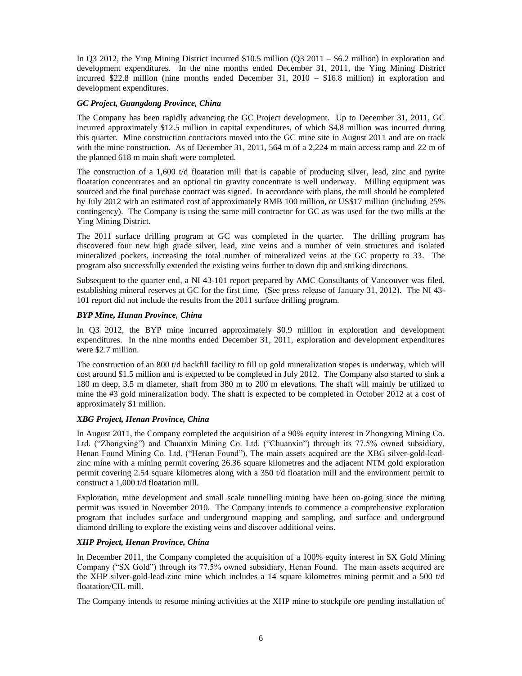In Q3 2012, the Ying Mining District incurred \$10.5 million (Q3 2011 – \$6.2 million) in exploration and development expenditures. In the nine months ended December 31, 2011, the Ying Mining District incurred \$22.8 million (nine months ended December 31, 2010 – \$16.8 million) in exploration and development expenditures.

### *GC Project, Guangdong Province, China*

The Company has been rapidly advancing the GC Project development. Up to December 31, 2011, GC incurred approximately \$12.5 million in capital expenditures, of which \$4.8 million was incurred during this quarter. Mine construction contractors moved into the GC mine site in August 2011 and are on track with the mine construction. As of December 31, 2011, 564 m of a 2,224 m main access ramp and 22 m of the planned 618 m main shaft were completed.

The construction of a 1,600 t/d floatation mill that is capable of producing silver, lead, zinc and pyrite floatation concentrates and an optional tin gravity concentrate is well underway. Milling equipment was sourced and the final purchase contract was signed. In accordance with plans, the mill should be completed by July 2012 with an estimated cost of approximately RMB 100 million, or US\$17 million (including 25% contingency). The Company is using the same mill contractor for GC as was used for the two mills at the Ying Mining District.

The 2011 surface drilling program at GC was completed in the quarter. The drilling program has discovered four new high grade silver, lead, zinc veins and a number of vein structures and isolated mineralized pockets, increasing the total number of mineralized veins at the GC property to 33. The program also successfully extended the existing veins further to down dip and striking directions.

Subsequent to the quarter end, a NI 43-101 report prepared by AMC Consultants of Vancouver was filed, establishing mineral reserves at GC for the first time. (See press release of January 31, 2012). The NI 43- 101 report did not include the results from the 2011 surface drilling program.

### *BYP Mine, Hunan Province, China*

In Q3 2012, the BYP mine incurred approximately \$0.9 million in exploration and development expenditures. In the nine months ended December 31, 2011, exploration and development expenditures were \$2.7 million.

The construction of an 800 t/d backfill facility to fill up gold mineralization stopes is underway, which will cost around \$1.5 million and is expected to be completed in July 2012. The Company also started to sink a 180 m deep, 3.5 m diameter, shaft from 380 m to 200 m elevations. The shaft will mainly be utilized to mine the #3 gold mineralization body. The shaft is expected to be completed in October 2012 at a cost of approximately \$1 million.

### *XBG Project, Henan Province, China*

In August 2011, the Company completed the acquisition of a 90% equity interest in Zhongxing Mining Co. Ltd. ("Zhongxing") and Chuanxin Mining Co. Ltd. ("Chuanxin") through its 77.5% owned subsidiary, Henan Found Mining Co. Ltd. ("Henan Found"). The main assets acquired are the XBG silver-gold-leadzinc mine with a mining permit covering 26.36 square kilometres and the adjacent NTM gold exploration permit covering 2.54 square kilometres along with a 350 t/d floatation mill and the environment permit to construct a 1,000 t/d floatation mill.

Exploration, mine development and small scale tunnelling mining have been on-going since the mining permit was issued in November 2010. The Company intends to commence a comprehensive exploration program that includes surface and underground mapping and sampling, and surface and underground diamond drilling to explore the existing veins and discover additional veins.

### *XHP Project, Henan Province, China*

In December 2011, the Company completed the acquisition of a 100% equity interest in SX Gold Mining Company ("SX Gold") through its 77.5% owned subsidiary, Henan Found. The main assets acquired are the XHP silver-gold-lead-zinc mine which includes a 14 square kilometres mining permit and a 500 t/d floatation/CIL mill.

The Company intends to resume mining activities at the XHP mine to stockpile ore pending installation of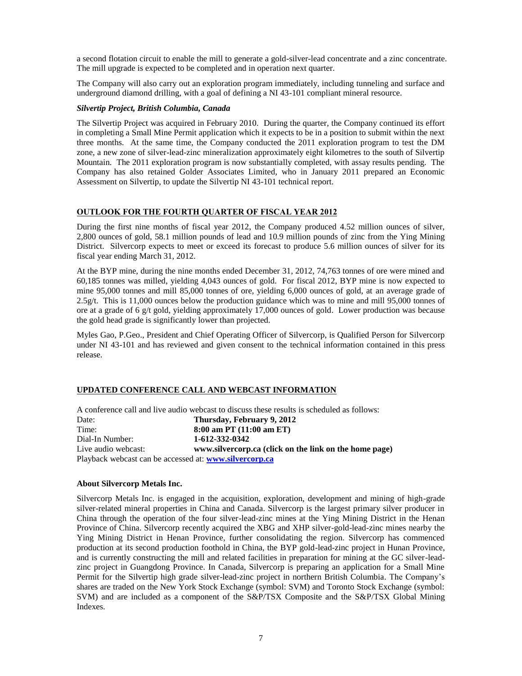a second flotation circuit to enable the mill to generate a gold-silver-lead concentrate and a zinc concentrate. The mill upgrade is expected to be completed and in operation next quarter.

The Company will also carry out an exploration program immediately, including tunneling and surface and underground diamond drilling, with a goal of defining a NI 43-101 compliant mineral resource.

### *Silvertip Project, British Columbia, Canada*

The Silvertip Project was acquired in February 2010. During the quarter, the Company continued its effort in completing a Small Mine Permit application which it expects to be in a position to submit within the next three months. At the same time, the Company conducted the 2011 exploration program to test the DM zone, a new zone of silver-lead-zinc mineralization approximately eight kilometres to the south of Silvertip Mountain. The 2011 exploration program is now substantially completed, with assay results pending. The Company has also retained Golder Associates Limited, who in January 2011 prepared an Economic Assessment on Silvertip, to update the Silvertip NI 43-101 technical report.

### **OUTLOOK FOR THE FOURTH QUARTER OF FISCAL YEAR 2012**

During the first nine months of fiscal year 2012, the Company produced 4.52 million ounces of silver, 2,800 ounces of gold, 58.1 million pounds of lead and 10.9 million pounds of zinc from the Ying Mining District. Silvercorp expects to meet or exceed its forecast to produce 5.6 million ounces of silver for its fiscal year ending March 31, 2012.

At the BYP mine, during the nine months ended December 31, 2012, 74,763 tonnes of ore were mined and 60,185 tonnes was milled, yielding 4,043 ounces of gold. For fiscal 2012, BYP mine is now expected to mine 95,000 tonnes and mill 85,000 tonnes of ore, yielding 6,000 ounces of gold, at an average grade of 2.5g/t. This is 11,000 ounces below the production guidance which was to mine and mill 95,000 tonnes of ore at a grade of 6 g/t gold, yielding approximately 17,000 ounces of gold. Lower production was because the gold head grade is significantly lower than projected.

Myles Gao, P.Geo., President and Chief Operating Officer of Silvercorp, is Qualified Person for Silvercorp under NI 43-101 and has reviewed and given consent to the technical information contained in this press release.

### **UPDATED CONFERENCE CALL AND WEBCAST INFORMATION**

A conference call and live audio webcast to discuss these results is scheduled as follows: Date: **Thursday, February 9, 2012** Time: **8:00 am PT (11:00 am ET)** Dial-In Number: **1-612-332-0342** Live audio webcast: **www.silvercorp.ca (click on the link on the home page)** Playback webcast can be accessed at: **[www.silvercorp.ca](http://www.silvercorp.ca/)**

### **About Silvercorp Metals Inc.**

Silvercorp Metals Inc. is engaged in the acquisition, exploration, development and mining of high-grade silver-related mineral properties in China and Canada. Silvercorp is the largest primary silver producer in China through the operation of the four silver-lead-zinc mines at the Ying Mining District in the Henan Province of China. Silvercorp recently acquired the XBG and XHP silver-gold-lead-zinc mines nearby the Ying Mining District in Henan Province, further consolidating the region. Silvercorp has commenced production at its second production foothold in China, the BYP gold-lead-zinc project in Hunan Province, and is currently constructing the mill and related facilities in preparation for mining at the GC silver-leadzinc project in Guangdong Province. In Canada, Silvercorp is preparing an application for a Small Mine Permit for the Silvertip high grade silver-lead-zinc project in northern British Columbia. The Company's shares are traded on the New York Stock Exchange (symbol: SVM) and Toronto Stock Exchange (symbol: SVM) and are included as a component of the S&P/TSX Composite and the S&P/TSX Global Mining Indexes.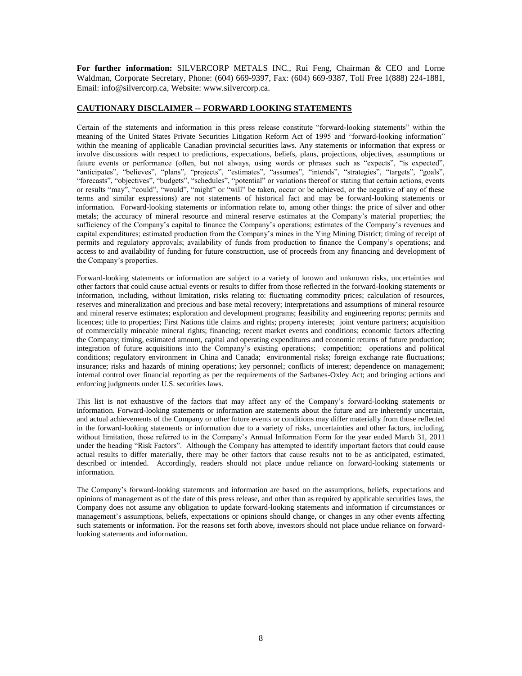**For further information:** SILVERCORP METALS INC., Rui Feng, Chairman & CEO and Lorne Waldman, Corporate Secretary, Phone: (604) 669-9397, Fax: (604) 669-9387, Toll Free 1(888) 224-1881, Email: info@silvercorp.ca, Website: www.silvercorp.ca.

### **CAUTIONARY DISCLAIMER -- FORWARD LOOKING STATEMENTS**

Certain of the statements and information in this press release constitute "forward-looking statements" within the meaning of the United States Private Securities Litigation Reform Act of 1995 and "forward-looking information" within the meaning of applicable Canadian provincial securities laws. Any statements or information that express or involve discussions with respect to predictions, expectations, beliefs, plans, projections, objectives, assumptions or future events or performance (often, but not always, using words or phrases such as "expects", "is expected", "anticipates", "believes", "plans", "projects", "estimates", "assumes", "intends", "strategies", "targets", "goals", "forecasts", "objectives", "budgets", "schedules", "potential" or variations thereof or stating that certain actions, events or results "may", "could", "would", "might" or "will" be taken, occur or be achieved, or the negative of any of these terms and similar expressions) are not statements of historical fact and may be forward-looking statements or information. Forward-looking statements or information relate to, among other things: the price of silver and other metals; the accuracy of mineral resource and mineral reserve estimates at the Company's material properties; the sufficiency of the Company's capital to finance the Company's operations; estimates of the Company's revenues and capital expenditures; estimated production from the Company's mines in the Ying Mining District; timing of receipt of permits and regulatory approvals; availability of funds from production to finance the Company's operations; and access to and availability of funding for future construction, use of proceeds from any financing and development of the Company's properties.

Forward-looking statements or information are subject to a variety of known and unknown risks, uncertainties and other factors that could cause actual events or results to differ from those reflected in the forward-looking statements or information, including, without limitation, risks relating to: fluctuating commodity prices; calculation of resources, reserves and mineralization and precious and base metal recovery; interpretations and assumptions of mineral resource and mineral reserve estimates; exploration and development programs; feasibility and engineering reports; permits and licences; title to properties; First Nations title claims and rights; property interests; joint venture partners; acquisition of commercially mineable mineral rights; financing; recent market events and conditions; economic factors affecting the Company; timing, estimated amount, capital and operating expenditures and economic returns of future production; integration of future acquisitions into the Company's existing operations; competition; operations and political conditions; regulatory environment in China and Canada; environmental risks; foreign exchange rate fluctuations; insurance; risks and hazards of mining operations; key personnel; conflicts of interest; dependence on management; internal control over financial reporting as per the requirements of the Sarbanes-Oxley Act; and bringing actions and enforcing judgments under U.S. securities laws.

This list is not exhaustive of the factors that may affect any of the Company's forward-looking statements or information. Forward-looking statements or information are statements about the future and are inherently uncertain, and actual achievements of the Company or other future events or conditions may differ materially from those reflected in the forward-looking statements or information due to a variety of risks, uncertainties and other factors, including, without limitation, those referred to in the Company's Annual Information Form for the year ended March 31, 2011 under the heading "Risk Factors". Although the Company has attempted to identify important factors that could cause actual results to differ materially, there may be other factors that cause results not to be as anticipated, estimated, described or intended. Accordingly, readers should not place undue reliance on forward-looking statements or information.

The Company's forward-looking statements and information are based on the assumptions, beliefs, expectations and opinions of management as of the date of this press release, and other than as required by applicable securities laws, the Company does not assume any obligation to update forward-looking statements and information if circumstances or management's assumptions, beliefs, expectations or opinions should change, or changes in any other events affecting such statements or information. For the reasons set forth above, investors should not place undue reliance on forwardlooking statements and information.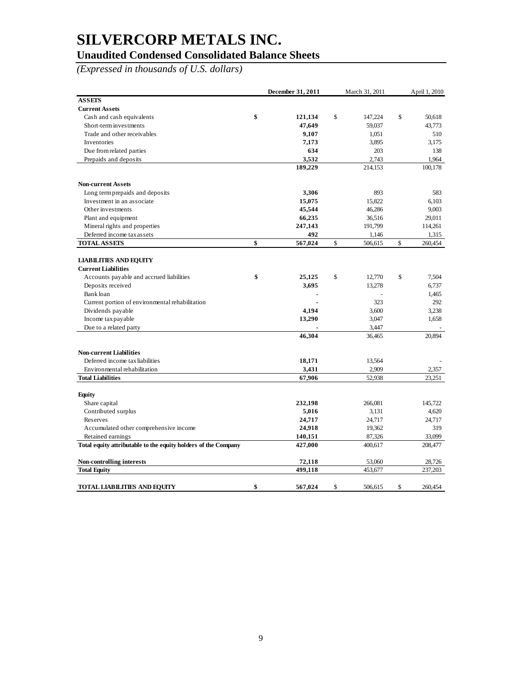## **Unaudited Condensed Consolidated Balance Sheets**

*(Expressed in thousands of U.S. dollars)*

|                                                                | December 31, 2011 | March 31, 2011 | April 1, 2010 |
|----------------------------------------------------------------|-------------------|----------------|---------------|
| <b>ASSETS</b>                                                  |                   |                |               |
| <b>Current Assets</b>                                          |                   |                |               |
| Cash and cash equivalents                                      | \$<br>121,134     | \$<br>147.224  | \$<br>50.618  |
| Short-term investments                                         | 47,649            | 59,037         | 43,773        |
| Trade and other receivables                                    | 9,107             | 1,051          | 510           |
| Inventories                                                    | 7,173             | 3,895          | 3,175         |
| Due from related parties                                       | 634               | 203            | 138           |
| Prepaids and deposits                                          | 3,532             | 2,743          | 1,964         |
|                                                                | 189,229           | 214,153        | 100,178       |
| <b>Non-current Assets</b>                                      |                   |                |               |
| Long term prepaids and deposits                                | 3,306             | 893            | 583           |
| Investment in an associate                                     | 15,075            | 15,822         | 6,103         |
| Other investments                                              | 45,544            | 46,286         | 9,003         |
| Plant and equipment                                            | 66,235            | 36,516         | 29,011        |
| Mineral rights and properties                                  | 247,143           | 191,799        | 114,261       |
| Deferred income tax assets                                     | 492               | 1,146          | 1,315         |
| <b>TOTAL ASSETS</b>                                            | \$<br>567,024     | \$<br>506,615  | \$<br>260,454 |
| <b>LIABILITIES AND EQUITY</b>                                  |                   |                |               |
| <b>Current Liabilities</b>                                     |                   |                |               |
| Accounts payable and accrued liabilities                       | \$<br>25,125      | \$<br>12,770   | \$<br>7,504   |
| Deposits received                                              | 3,695             | 13,278         | 6,737         |
| Bank loan                                                      |                   |                | 1,465         |
| Current portion of environmental rehabilitation                |                   | 323            | 292           |
| Dividends payable                                              | 4,194             | 3,600          | 3.238         |
| Income tax payable                                             | 13,290            | 3,047          | 1,658         |
| Due to a related party                                         |                   | 3,447          |               |
|                                                                | 46,304            | 36,465         | 20,894        |
| <b>Non-current Liabilities</b>                                 |                   |                |               |
| Deferred income tax liabilities                                | 18,171            | 13,564         |               |
| Environmental rehabilitation                                   | 3,431             | 2,909          | 2,357         |
| <b>Total Liabilities</b>                                       | 67,906            | 52,938         | 23,251        |
| <b>Equity</b>                                                  |                   |                |               |
| Share capital                                                  | 232,198           | 266,081        | 145,722       |
| Contributed surplus                                            | 5,016             | 3,131          | 4,620         |
| Reserves                                                       | 24,717            | 24,717         | 24,717        |
| Accumulated other comprehensive income                         | 24,918            | 19,362         | 319           |
| Retained earnings                                              | 140,151           | 87,326         | 33,099        |
| Total equity attributable to the equity holders of the Company | 427,000           | 400,617        | 208,477       |
| Non-controlling interests                                      | 72,118            | 53,060         | 28,726        |
| <b>Total Equity</b>                                            | 499,118           | 453,677        | 237,203       |
| <b>TOTAL LIABILITIES AND EQUITY</b>                            | \$<br>567,024     | \$<br>506,615  | \$<br>260.454 |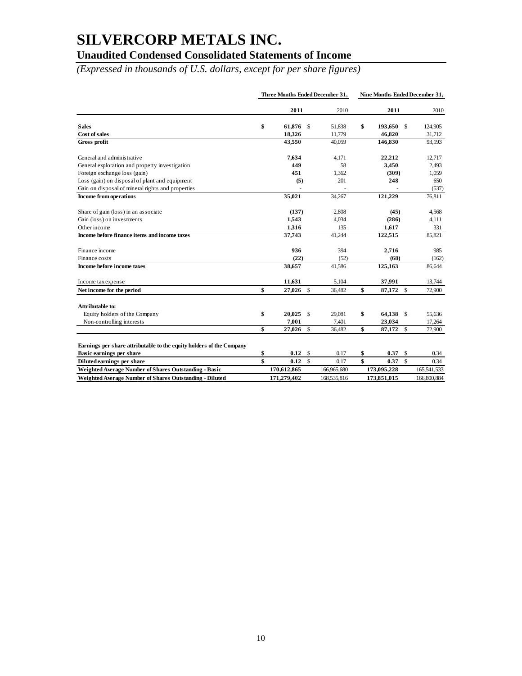## **Unaudited Condensed Consolidated Statements of Income**

*(Expressed in thousands of U.S. dollars, except for per share figures)*

|                                                                      | Three Months Ended December 31, |             |                    |             | Nine Months Ended December 31, |             |                    |             |
|----------------------------------------------------------------------|---------------------------------|-------------|--------------------|-------------|--------------------------------|-------------|--------------------|-------------|
|                                                                      |                                 | 2011        |                    | 2010        |                                | 2011        |                    | 2010        |
| <b>Sales</b>                                                         | \$                              | 61.876      | <sup>\$</sup>      | 51,838      | \$                             | 193,650 \$  |                    | 124,905     |
| Cost of sales                                                        |                                 | 18,326      |                    | 11,779      |                                | 46.820      |                    | 31,712      |
| Gross profit                                                         |                                 | 43,550      |                    | 40,059      |                                | 146,830     |                    | 93,193      |
| General and administrative                                           |                                 | 7,634       |                    | 4.171       |                                | 22,212      |                    | 12,717      |
| General exploration and property investigation                       |                                 | 449         |                    | 58          |                                | 3,450       |                    | 2,493       |
| Foreign exchange loss (gain)                                         |                                 | 451         |                    | 1,362       |                                | (309)       |                    | 1,059       |
| Loss (gain) on disposal of plant and equipment                       |                                 | (5)         |                    | 201         |                                | 248         |                    | 650         |
| Gain on disposal of mineral rights and properties                    |                                 |             |                    |             |                                |             |                    | (537)       |
| Income from operations                                               |                                 | 35,021      |                    | 34,267      |                                | 121,229     |                    | 76,811      |
| Share of gain (loss) in an associate                                 |                                 | (137)       |                    | 2,808       |                                | (45)        |                    | 4,568       |
| Gain (loss) on investments                                           |                                 | 1,543       |                    | 4,034       |                                | (286)       |                    | 4,111       |
| Other income                                                         |                                 | 1,316       |                    | 135         |                                | 1,617       |                    | 331         |
| Income before finance items and income taxes                         |                                 | 37,743      |                    | 41,244      |                                | 122,515     |                    | 85,821      |
| Finance income                                                       |                                 | 936         |                    | 394         |                                | 2,716       |                    | 985         |
| Finance costs                                                        |                                 | (22)        |                    | (52)        |                                | (68)        |                    | (162)       |
| Income before income taxes                                           |                                 | 38,657      |                    | 41,586      |                                | 125,163     |                    | 86,644      |
| Income tax expense                                                   |                                 | 11,631      |                    | 5,104       |                                | 37,991      |                    | 13,744      |
| Net income for the period                                            | \$                              | 27,026      | \$                 | 36,482      | \$                             | 87,172 \$   |                    | 72,900      |
| Attributable to:                                                     |                                 |             |                    |             |                                |             |                    |             |
| Equity holders of the Company                                        | \$                              | 20,025      | \$                 | 29,081      | \$                             | 64,138 \$   |                    | 55,636      |
| Non-controlling interests                                            |                                 | 7,001       |                    | 7,401       |                                | 23,034      |                    | 17,264      |
|                                                                      | \$                              | 27,026      | \$                 | 36,482      | \$                             | 87,172 \$   |                    | 72,900      |
| Earnings per share attributable to the equity holders of the Company |                                 |             |                    |             |                                |             |                    |             |
| <b>Basic earnings per share</b>                                      | \$                              | 0.12        | -S                 | 0.17        | \$                             | 0.37        | -\$                | 0.34        |
| Diluted earnings per share                                           | \$                              | 0.12        | $\mathbf{\hat{S}}$ | 0.17        | \$                             | 0.37        | $\mathbf{\hat{S}}$ | 0.34        |
| Weighted Average Number of Shares Outstanding - Basic                |                                 | 170,612,865 |                    | 166,965,680 |                                | 173,095,228 |                    | 165,541,533 |
| Weighted Average Number of Shares Outstanding - Diluted              |                                 | 171,279,402 |                    | 168,535,816 |                                | 173,851,015 |                    | 166,800,884 |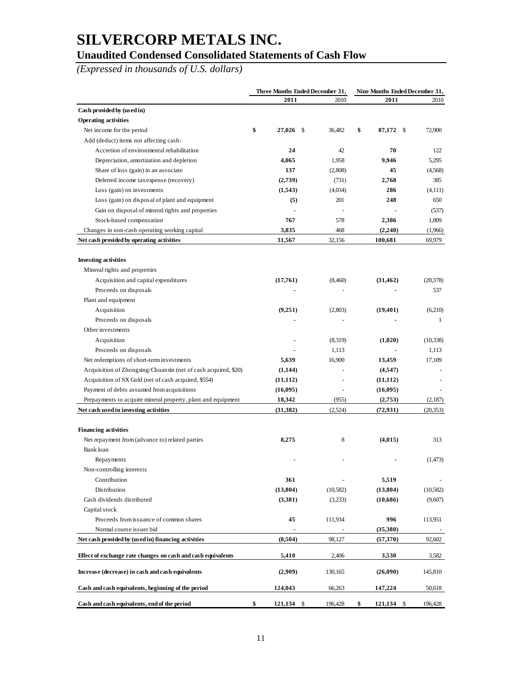## **Unaudited Condensed Consolidated Statements of Cash Flow**

*(Expressed in thousands of U.S. dollars)*

|                                                                | Three Months Ended December 31, |           |    | Nine Months Ended December 31, |           |  |
|----------------------------------------------------------------|---------------------------------|-----------|----|--------------------------------|-----------|--|
|                                                                | 2011                            | 2010      |    | 2011                           | 2010      |  |
| Cash provided by (used in)                                     |                                 |           |    |                                |           |  |
| <b>Operating activities</b>                                    |                                 |           |    |                                |           |  |
| Net income for the period                                      | \$<br>$27,026$ \$               | 36,482    | \$ | 87,172 \$                      | 72,900    |  |
| Add (deduct) items not affecting cash:                         |                                 |           |    |                                |           |  |
| Accretion of environmental rehabilitation                      | 24                              | 42        |    | 70                             | 122       |  |
| Depreciation, amortization and depletion                       | 4,065                           | 1,958     |    | 9,946                          | 5,295     |  |
| Share of loss (gain) in an associate                           | 137                             | (2,808)   |    | 45                             | (4,568)   |  |
| Deferred income tax expense (recovery)                         | (2,739)                         | (731)     |    | 2,768                          | 385       |  |
| Loss (gain) on investments                                     | (1,543)                         | (4,034)   |    | 286                            | (4,111)   |  |
| Loss (gain) on disposal of plant and equipment                 | (5)                             | 201       |    | 248                            | 650       |  |
| Gain on disposal of mineral rights and properties              |                                 |           |    |                                | (537)     |  |
| Stock-based compensation                                       | 767                             | 578       |    | 2,386                          | 1,809     |  |
| Changes in non-cash operating working capital                  | 3,835                           | 468       |    | (2,240)                        | (1,966)   |  |
| Net cash provided by operating activities                      | 31,567                          | 32,156    |    | 100,681                        | 69,979    |  |
| <b>Investing activities</b>                                    |                                 |           |    |                                |           |  |
| Mineral rights and properties                                  |                                 |           |    |                                |           |  |
| Acquisition and capital expenditures                           | (17,761)                        | (8,460)   |    | (31, 462)                      | (20, 378) |  |
| Proceeds on disposals                                          |                                 |           |    |                                | 537       |  |
| Plant and equipment                                            |                                 |           |    |                                |           |  |
| Acquisition                                                    | (9,251)                         | (2,803)   |    | (19, 401)                      | (6,210)   |  |
| Proceeds on disposals                                          |                                 |           |    |                                | 1         |  |
| Other investments                                              |                                 |           |    |                                |           |  |
| Acquisition                                                    |                                 | (8,319)   |    | (1,020)                        | (10, 338) |  |
| Proceeds on disposals                                          |                                 | 1,113     |    |                                | 1,113     |  |
| Net redemptions of short-term investments                      | 5,639                           | 16,900    |    | 13,459                         | 17,109    |  |
| Acquisition of Zhongxing/Chuanxin (net of cash acquired, \$20) | (1,144)                         |           |    | (4, 547)                       |           |  |
| Acquisition of SX Gold (net of cash acquired, \$554)           | (11, 112)                       |           |    | (11, 112)                      |           |  |
| Payment of debts assumed from acquisitions                     | (16,095)                        | $\sim$    |    | (16,095)                       |           |  |
| Prepayments to acquire mineral property, plant and equipment   | 18,342                          | (955)     |    | (2,753)                        | (2,187)   |  |
| Net cash used in investing activities                          | (31, 382)                       | (2,524)   |    | (72, 931)                      | (20, 353) |  |
| <b>Financing activities</b>                                    |                                 |           |    |                                |           |  |
| Net repayment from (advance to) related parties                | 8,275                           | 8         |    | (4,015)                        | 313       |  |
| Bank loan                                                      |                                 |           |    |                                |           |  |
| Repayments                                                     |                                 |           |    |                                | (1,473)   |  |
| Non-controlling interests                                      |                                 |           |    |                                |           |  |
| Contribution                                                   | 361                             |           |    | 5,519                          |           |  |
| Distribution                                                   | (13, 804)                       | (10, 582) |    | (13, 804)                      | (10, 582) |  |
| Cash dividends distributed                                     | (3,381)                         | (3,233)   |    | (10,686)                       | (9,607)   |  |
| Capital stock                                                  |                                 |           |    |                                |           |  |
| Proceeds from issuance of common shares                        | 45                              | 111,934   |    | 996                            | 113,951   |  |
| Normal course issuer bid                                       |                                 |           |    | (35,380)                       |           |  |
| Net cash provided by (used in) financing activities            | (8,504)                         | 98,127    |    | (57,370)                       | 92,602    |  |
|                                                                |                                 |           |    |                                |           |  |
| Effect of exchange rate changes on cash and cash equivalents   | 5,410                           | 2,406     |    | 3,530                          | 3,582     |  |
| Increase (decrease) in cash and cash equivalents               | (2,909)                         | 130,165   |    | (26,090)                       | 145,810   |  |
| Cash and cash equivalents, beginning of the period             | 124,043                         | 66,263    |    | 147,224                        | 50,618    |  |
| Cash and cash equivalents, end of the period                   | \$<br>$121,134$ \$              | 196,428   | \$ | $121,134$ \$                   | 196,428   |  |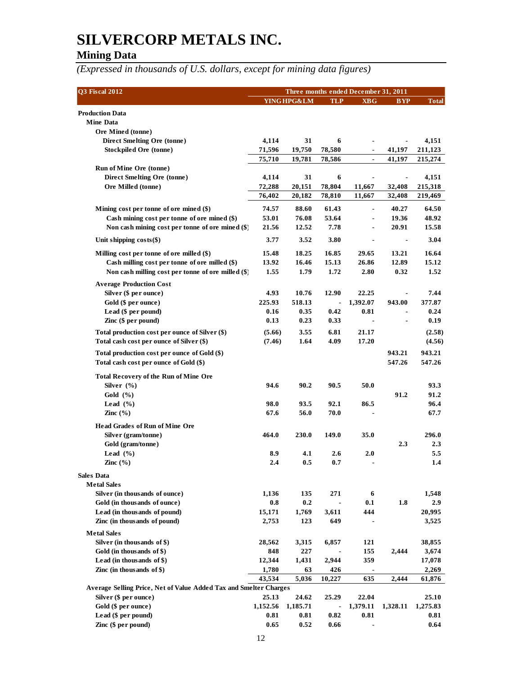## **Mining Data**

| Q3 Fiscal 2012                                                    | Three months ended December 31, 2011 |             |                          |                          |                |              |
|-------------------------------------------------------------------|--------------------------------------|-------------|--------------------------|--------------------------|----------------|--------------|
|                                                                   |                                      | YING HPG&LM | <b>TLP</b>               | XB G                     | <b>BYP</b>     | <b>Total</b> |
| <b>Production Data</b>                                            |                                      |             |                          |                          |                |              |
| <b>Mine Data</b>                                                  |                                      |             |                          |                          |                |              |
| Ore Mined (tonne)                                                 |                                      |             |                          |                          |                |              |
| Direct Smelting Ore (tonne)                                       | 4,114                                | 31          | 6                        |                          |                | 4,151        |
| <b>Stockpiled Ore (tonne)</b>                                     | 71,596                               | 19,750      | 78,580                   |                          | 41,197         | 211,123      |
|                                                                   | 75,710                               | 19,781      | 78,586                   | $\blacksquare$           | 41,197         | 215,274      |
| <b>Run of Mine Ore (tonne)</b>                                    |                                      |             |                          |                          |                |              |
| Direct Smelting Ore (tonne)                                       | 4,114                                | 31          | 6                        |                          |                | 4,151        |
| Ore Milled (tonne)                                                | 72,288                               | 20,151      | 78,804                   | 11,667                   | 32,408         | 215,318      |
|                                                                   | 76,402                               | 20,182      | 78,810                   | 11,667                   | 32,408         | 219,469      |
| Mining cost per tonne of ore mined $(\$)$                         | 74.57                                | 88.60       | 61.43                    |                          | 40.27          | 64.50        |
| Cash mining cost per tonne of ore mined $(\$)$                    | 53.01                                | 76.08       | 53.64                    | $\blacksquare$           | 19.36          | 48.92        |
| Non cash mining cost per tonne of ore mined (\$)                  | 21.56                                | 12.52       | 7.78                     | $\blacksquare$           | 20.91          | 15.58        |
| Unit shipping $costs(\$)$                                         | 3.77                                 | 3.52        | 3.80                     |                          | $\overline{a}$ | 3.04         |
| Milling cost per tonne of ore milled (\$)                         | 15.48                                | 18.25       | 16.85                    | 29.65                    | 13.21          | 16.64        |
| Cash milling cost per tonne of ore milled (\$)                    | 13.92                                | 16.46       | 15.13                    | 26.86                    | 12.89          | 15.12        |
| Non cash milling cost per tonne of ore milled (\$)                | 1.55                                 | 1.79        | 1.72                     | 2.80                     | 0.32           | 1.52         |
| <b>Average Production Cost</b>                                    |                                      |             |                          |                          |                |              |
| Silver (\$ per ounce)                                             | 4.93                                 | 10.76       | 12.90                    | 22.25                    |                | 7.44         |
| Gold (\$ per ounce)                                               | 225.93                               | 518.13      | $\overline{\phantom{a}}$ | 1,392.07                 | 943.00         | 377.87       |
| Lead (\$ per pound)                                               | 0.16                                 | 0.35        | 0.42                     | 0.81                     |                | 0.24         |
| Zinc (\$ per pound)                                               | 0.13                                 | 0.23        | 0.33                     | $\blacksquare$           |                | 0.19         |
| Total production cost per ounce of Silver (\$)                    | (5.66)                               | 3.55        | 6.81                     | 21.17                    |                | (2.58)       |
| Total cash cost per ounce of Silver (\$)                          | (7.46)                               | 1.64        | 4.09                     | 17.20                    |                | (4.56)       |
| Total production cost per ounce of Gold (\$)                      |                                      |             |                          |                          | 943.21         | 943.21       |
| Total cash cost per ounce of Gold (\$)                            |                                      |             |                          |                          | 547.26         | 547.26       |
| <b>Total Recovery of the Run of Mine Ore</b>                      |                                      |             |                          |                          |                |              |
| Silver $(\% )$                                                    | 94.6                                 | 90.2        | 90.5                     | 50.0                     |                | 93.3         |
| Gold $(\% )$                                                      |                                      |             |                          |                          | 91.2           | 91.2         |
| Lead $(\% )$                                                      | 98.0                                 | 93.5        | 92.1                     | 86.5                     |                | 96.4         |
| Zinc $(\% )$                                                      | 67.6                                 | 56.0        | 70.0                     |                          |                | 67.7         |
| <b>Head Grades of Run of Mine Ore</b>                             |                                      |             |                          |                          |                |              |
| Silver (gram/tonne)                                               | 464.0                                | 230.0       | 149.0                    | 35.0                     |                | 296.0        |
| Gold (gram/tonne)                                                 |                                      |             |                          |                          | 2.3            | 2.3          |
| Lead $(%$                                                         | 8.9                                  | 4.1         | 2.6                      | 2.0                      |                | 5.5          |
| Zinc $(\% )$                                                      | 2.4                                  | 0.5         | 0.7                      |                          |                | 1.4          |
| <b>Sales Data</b>                                                 |                                      |             |                          |                          |                |              |
| <b>Metal Sales</b>                                                |                                      |             |                          |                          |                |              |
| Silver (in thousands of ounce)                                    | 1,136                                | 135         | 271                      | 6                        |                | 1,548        |
| Gold (in thousands of ounce)                                      | 0.8                                  | 0.2         | $\blacksquare$           | 0.1                      | 1.8            | 2.9          |
| Lead (in thousands of pound)                                      | 15,171                               | 1,769       | 3,611                    | 444                      |                | 20,995       |
| Zinc (in thousands of pound)                                      | 2,753                                | 123         | 649                      | $\overline{\phantom{a}}$ |                | 3,525        |
| <b>Metal Sales</b>                                                |                                      |             |                          |                          |                |              |
| Silver (in thousands of \$)                                       | 28,562                               | 3,315       | 6,857                    | 121                      |                | 38,855       |
| Gold (in thousands of \$)                                         | 848                                  | 227         |                          | 155                      | 2,444          | 3,674        |
| Lead (in thousands of \$)                                         | 12,344                               | 1,431       | 2,944                    | 359                      |                | 17,078       |
| Zinc (in thousands of $\$$ )                                      | 1,780                                | 63          | 426                      |                          |                | 2,269        |
|                                                                   | 43,534                               | 5,036       | 10,227                   | 635                      | 2,444          | 61,876       |
| Average Selling Price, Net of Value Added Tax and Smelter Charges |                                      |             |                          |                          |                |              |
| Silver (\$ per ounce)                                             | 25.13                                | 24.62       | 25.29                    | 22.04                    |                | 25.10        |
| Gold (\$ per ounce)                                               | 1,152.56                             | 1,185.71    | $\blacksquare$           | 1,379.11                 | 1,328.11       | 1,275.83     |
| Lead (\$ per pound)                                               | 0.81                                 | 0.81        | 0.82                     | 0.81                     |                | 0.81         |
| Zinc $(\$$ per pound)                                             | 0.65                                 | 0.52        | 0.66                     | $\overline{\phantom{a}}$ |                | 0.64         |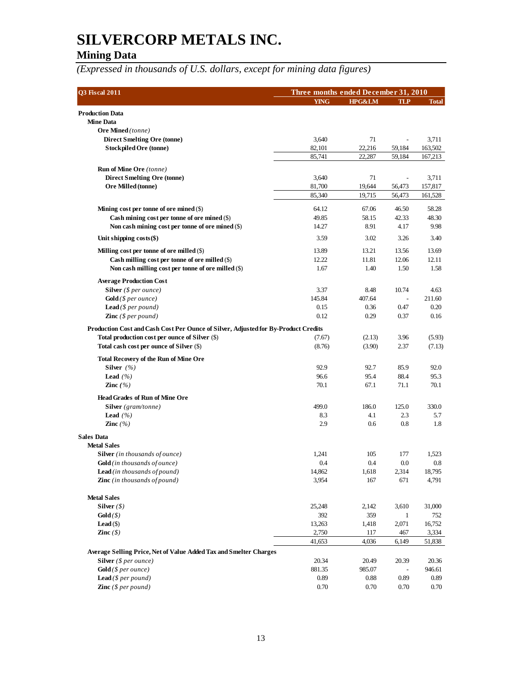## **Mining Data**

| <b>Q3 Fiscal 2011</b>                                                              | Three months ended December 31, 2010 |        |                          |              |  |  |  |
|------------------------------------------------------------------------------------|--------------------------------------|--------|--------------------------|--------------|--|--|--|
|                                                                                    | <b>YING</b>                          | HPG&LM | <b>TLP</b>               | <b>Total</b> |  |  |  |
| <b>Production Data</b>                                                             |                                      |        |                          |              |  |  |  |
| <b>Mine Data</b>                                                                   |                                      |        |                          |              |  |  |  |
| Ore Mined (tonne)                                                                  |                                      |        |                          |              |  |  |  |
| <b>Direct Smelting Ore (tonne)</b>                                                 | 3,640                                | 71     |                          | 3,711        |  |  |  |
| <b>Stockpiled Ore (tonne)</b>                                                      | 82,101                               | 22,216 | 59,184                   | 163,502      |  |  |  |
|                                                                                    | 85,741                               | 22,287 | 59,184                   | 167,213      |  |  |  |
| Run of Mine Ore (tonne)                                                            |                                      |        |                          |              |  |  |  |
| <b>Direct Smelting Ore (tonne)</b>                                                 | 3,640                                | 71     |                          | 3,711        |  |  |  |
| Ore Milled (tonne)                                                                 | 81,700                               | 19,644 | 56,473                   | 157,817      |  |  |  |
|                                                                                    | 85,340                               | 19,715 | 56,473                   | 161,528      |  |  |  |
|                                                                                    |                                      |        |                          |              |  |  |  |
| Mining cost per tonne of ore mined (\$)                                            | 64.12                                | 67.06  | 46.50                    | 58.28        |  |  |  |
| Cash mining cost per tonne of ore mined (\$)                                       | 49.85                                | 58.15  | 42.33                    | 48.30        |  |  |  |
| Non cash mining cost per tonne of ore mined (\$)                                   | 14.27                                | 8.91   | 4.17                     | 9.98         |  |  |  |
| Unit shipping $costs(\$)$                                                          | 3.59                                 | 3.02   | 3.26                     | 3.40         |  |  |  |
| Milling cost per tonne of ore milled (\$)                                          | 13.89                                | 13.21  | 13.56                    | 13.69        |  |  |  |
| Cash milling cost per tonne of ore milled (\$)                                     | 12.22                                | 11.81  | 12.06                    | 12.11        |  |  |  |
| Non cash milling cost per tonne of ore milled (\$)                                 | 1.67                                 | 1.40   | 1.50                     | 1.58         |  |  |  |
| <b>Average Production Cost</b>                                                     |                                      |        |                          |              |  |  |  |
| Silver $(§ per ounce)$                                                             | 3.37                                 | 8.48   | 10.74                    | 4.63         |  |  |  |
| $Gold$ (\$ per ounce)                                                              | 145.84                               | 407.64 | $\overline{\phantom{a}}$ | 211.60       |  |  |  |
| <b>Lead</b> ( $$per pound$ )                                                       | 0.15                                 | 0.36   | 0.47                     | 0.20         |  |  |  |
| <b>Zinc</b> $(\$ per pound)$                                                       | 0.12                                 | 0.29   | 0.37                     | 0.16         |  |  |  |
|                                                                                    |                                      |        |                          |              |  |  |  |
| Production Cost and Cash Cost Per Ounce of Silver, Adjusted for By-Product Credits |                                      |        |                          |              |  |  |  |
| Total production cost per ounce of Silver (\$)                                     | (7.67)                               | (2.13) | 3.96                     | (5.93)       |  |  |  |
| Total cash cost per ounce of Silver (\$)                                           | (8.76)                               | (3.90) | 2.37                     | (7.13)       |  |  |  |
| <b>Total Recovery of the Run of Mine Ore</b>                                       |                                      |        |                          |              |  |  |  |
| Silver $(%)$                                                                       | 92.9                                 | 92.7   | 85.9                     | 92.0         |  |  |  |
| <b>Lead</b> $(%$                                                                   | 96.6                                 | 95.4   | 88.4                     | 95.3         |  |  |  |
| Zinc $(\% )$                                                                       | 70.1                                 | 67.1   | 71.1                     | 70.1         |  |  |  |
| <b>Head Grades of Run of Mine Ore</b>                                              |                                      |        |                          |              |  |  |  |
| <b>Silver</b> (gram/tonne)                                                         | 499.0                                | 186.0  | 125.0                    | 330.0        |  |  |  |
| Lead $(%$                                                                          | 8.3                                  | 4.1    | 2.3                      | 5.7          |  |  |  |
| Zinc $(%)$                                                                         | 2.9                                  | 0.6    | 0.8                      | 1.8          |  |  |  |
| <b>Sales Data</b>                                                                  |                                      |        |                          |              |  |  |  |
| <b>Metal Sales</b>                                                                 |                                      |        |                          |              |  |  |  |
| <b>Silver</b> (in thousands of ounce)                                              | 1,241                                | 105    | 177                      | 1,523        |  |  |  |
| <b>Gold</b> (in thousands of ounce)                                                | 0.4                                  | 0.4    | 0.0                      | 0.8          |  |  |  |
| Lead (in thousands of pound)                                                       | 14,862                               | 1,618  | 2,314                    | 18,795       |  |  |  |
| <b>Zinc</b> (in thousands of pound)                                                | 3,954                                | 167    | 671                      | 4,791        |  |  |  |
| <b>Metal Sales</b>                                                                 |                                      |        |                          |              |  |  |  |
| Silver $(\$)$                                                                      | 25,248                               | 2,142  | 3,610                    | 31,000       |  |  |  |
| $\text{Gold}\,(\text{\$})$                                                         | 392                                  | 359    | $\mathbf{1}$             | 752          |  |  |  |
| Lead $(\$)$                                                                        | 13,263                               | 1,418  | 2,071                    | 16,752       |  |  |  |
| Zinc $(\$)$                                                                        | 2,750                                | 117    | 467                      | 3,334        |  |  |  |
|                                                                                    | 41,653                               | 4,036  | 6,149                    | 51,838       |  |  |  |
| Average Selling Price, Net of Value Added Tax and Smelter Charges                  |                                      |        |                          |              |  |  |  |
| <b>Silver</b> ( $$ per ounce$ )                                                    | 20.34                                | 20.49  | 20.39                    | 20.36        |  |  |  |
| Gold(S per ounce)                                                                  | 881.35                               | 985.07 |                          | 946.61       |  |  |  |
| <b>Lead</b> ( $$per pound$ )                                                       | 0.89                                 | 0.88   | 0.89                     | 0.89         |  |  |  |
| <b>Zinc</b> $(S \text{ per pound})$                                                | 0.70                                 | 0.70   | 0.70                     | 0.70         |  |  |  |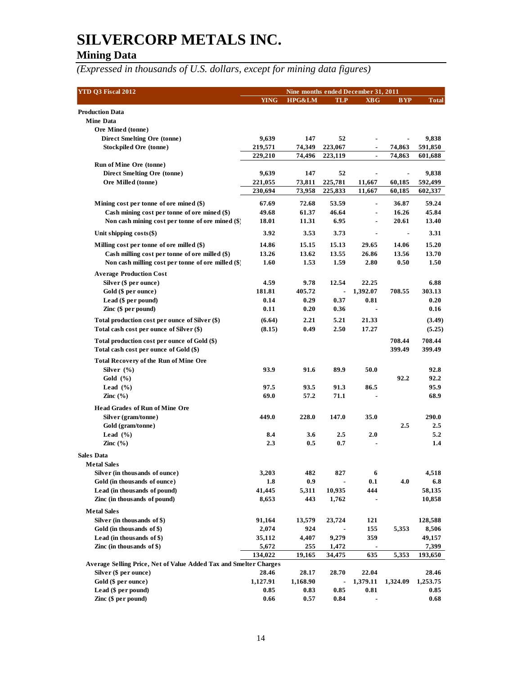## **Mining Data**

| <b>YTD Q3 Fiscal 2012</b>                                         | Nine months ended December 31, 2011 |                  |                    |                          |                |              |
|-------------------------------------------------------------------|-------------------------------------|------------------|--------------------|--------------------------|----------------|--------------|
|                                                                   | <b>YING</b>                         | HPG&LM           | <b>TLP</b>         | <b>XBG</b>               | <b>BYP</b>     | <b>Total</b> |
| <b>Production Data</b>                                            |                                     |                  |                    |                          |                |              |
| <b>Mine Data</b>                                                  |                                     |                  |                    |                          |                |              |
| Ore Mined (tonne)                                                 |                                     |                  |                    |                          |                |              |
| Direct Smelting Ore (tonne)                                       | 9,639                               | 147              | 52                 |                          |                | 9,838        |
| <b>Stockpiled Ore (tonne)</b>                                     | 219,571                             | 74,349           | 223,067            | $\blacksquare$           | 74,863         | 591,850      |
|                                                                   | 229,210                             | 74,496           | 223,119            | $\blacksquare$           | 74,863         | 601,688      |
| <b>Run of Mine Ore (tonne)</b>                                    |                                     |                  |                    |                          |                |              |
| Direct Smelting Ore (tonne)                                       | 9,639                               | 147              | 52                 |                          | ×,             | 9,838        |
| Ore Milled (tonne)                                                | 221,055<br>230,694                  | 73,811<br>73,958 | 225,781<br>225,833 | 11,667<br>11,667         | 60,185         | 592,499      |
|                                                                   |                                     |                  |                    |                          | 60,185         | 602,337      |
| Mining cost per tonne of ore mined $(\$)$                         | 67.69                               | 72.68            | 53.59              | $\blacksquare$           | 36.87          | 59.24        |
| Cash mining cost per tonne of ore mined (\$)                      | 49.68                               | 61.37            | 46.64              | $\blacksquare$           | 16.26          | 45.84        |
| Non cash mining cost per tonne of ore mined (\$)                  | 18.01                               | 11.31            | 6.95               | $\blacksquare$           | 20.61          | 13.40        |
| Unit shipping $costs(\text{$})$                                   | 3.92                                | 3.53             | 3.73               | $\blacksquare$           | $\blacksquare$ | 3.31         |
| Milling cost per tonne of ore milled $(\$)$                       | 14.86                               | 15.15            | 15.13              | 29.65                    | 14.06          | 15.20        |
| Cash milling cost per tonne of ore milled (\$)                    | 13.26                               | 13.62            | 13.55              | 26.86                    | 13.56          | 13.70        |
| Non cash milling cost per tonne of ore milled (\$)                | 1.60                                | 1.53             | 1.59               | 2.80                     | 0.50           | 1.50         |
| <b>Average Production Cost</b>                                    |                                     |                  |                    |                          |                |              |
| Silver (\$ per ounce)                                             | 4.59                                | 9.78             | 12.54              | 22.25                    |                | 6.88         |
| Gold (\$ per ounce)                                               | 181.81                              | 405.72           |                    | 1,392.07                 | 708.55         | 303.13       |
| Lead (\$ per pound)                                               | 0.14                                | 0.29             | 0.37               | 0.81                     |                | 0.20         |
| Zinc (\$ per pound)                                               | 0.11                                | 0.20             | 0.36               | $\blacksquare$           |                | 0.16         |
| Total production cost per ounce of Silver $(\$)$                  | (6.64)                              | 2.21             | 5.21               | 21.33                    |                | (3.49)       |
| Total cash cost per ounce of Silver (\$)                          | (8.15)                              | 0.49             | 2.50               | 17.27                    |                | (5.25)       |
| Total production cost per ounce of Gold (\$)                      |                                     |                  |                    |                          | 708.44         | 708.44       |
| Total cash cost per ounce of Gold (\$)                            |                                     |                  |                    |                          | 399.49         | 399.49       |
| <b>Total Recovery of the Run of Mine Ore</b>                      |                                     |                  |                    |                          |                |              |
| Silver $(\% )$                                                    | 93.9                                | 91.6             | 89.9               | 50.0                     |                | 92.8         |
| Gold $(\% )$                                                      |                                     |                  |                    |                          | 92.2           | 92.2         |
| Lead $(\% )$                                                      | 97.5                                | 93.5             | 91.3               | 86.5                     |                | 95.9         |
| Zinc $(\% )$                                                      | 69.0                                | 57.2             | 71.1               | $\overline{\phantom{a}}$ |                | 68.9         |
| <b>Head Grades of Run of Mine Ore</b>                             |                                     |                  |                    |                          |                |              |
| Silver (gram/tonne)                                               | 449.0                               | 228.0            | 147.0              | 35.0                     |                | 290.0        |
| Gold (gram/tonne)                                                 |                                     |                  |                    |                          | 2.5            | 2.5          |
| Lead $(\% )$                                                      | 8.4                                 | 3.6              | 2.5                | 2.0                      |                | 5.2          |
| Zinc $(\% )$                                                      | 2.3                                 | 0.5              | 0.7                |                          |                | 1.4          |
| <b>Sales Data</b>                                                 |                                     |                  |                    |                          |                |              |
| <b>Metal Sales</b>                                                |                                     |                  |                    |                          |                |              |
| Silver (in thousands of ounce)                                    | 3,203                               | 482              | 827                | 6                        |                | 4,518        |
| Gold (in thousands of ounce)                                      | 1.8                                 | 0.9              |                    | 0.1                      | 4.0            | 6.8          |
| Lead (in thousands of pound)                                      | 41,445                              | 5,311            | 10,935             | 444                      |                | 58,135       |
| Zinc (in thousands of pound)                                      | 8,653                               | 443              | 1,762              |                          |                | 10,858       |
| <b>Metal Sales</b>                                                |                                     |                  |                    |                          |                |              |
| Silver (in thousands of $\$$ )                                    | 91,164                              | 13,579           | 23,724             | 121                      |                | 128,588      |
| Gold (in thousands of \$)                                         | 2,074                               | 924              |                    | 155                      | 5,353          | 8,506        |
| Lead (in thousands of $\$$ )                                      | 35,112                              | 4,407            | 9,279              | 359                      |                | 49,157       |
| Zinc (in thousands of $\$$ )                                      | 5,672                               | 255              | 1,472              |                          |                | 7,399        |
|                                                                   | 134,022                             | 19,165           | 34,475             | 635                      | 5,353          | 193,650      |
| Average Selling Price, Net of Value Added Tax and Smelter Charges |                                     |                  |                    |                          |                |              |
| Silver (\$ per ounce)                                             | 28.46                               | 28.17            | 28.70              | 22.04                    |                | 28.46        |
| Gold (\$ per ounce)                                               | 1,127.91                            | 1,168.90         | ۰                  | 1,379.11                 | 1,324.09       | 1,253.75     |
| Lead (\$ per pound)                                               | 0.85                                | 0.83             | 0.85               | 0.81                     |                | 0.85         |
| Zinc (\$ per pound)                                               | 0.66                                | 0.57             | 0.84               |                          |                | 0.68         |